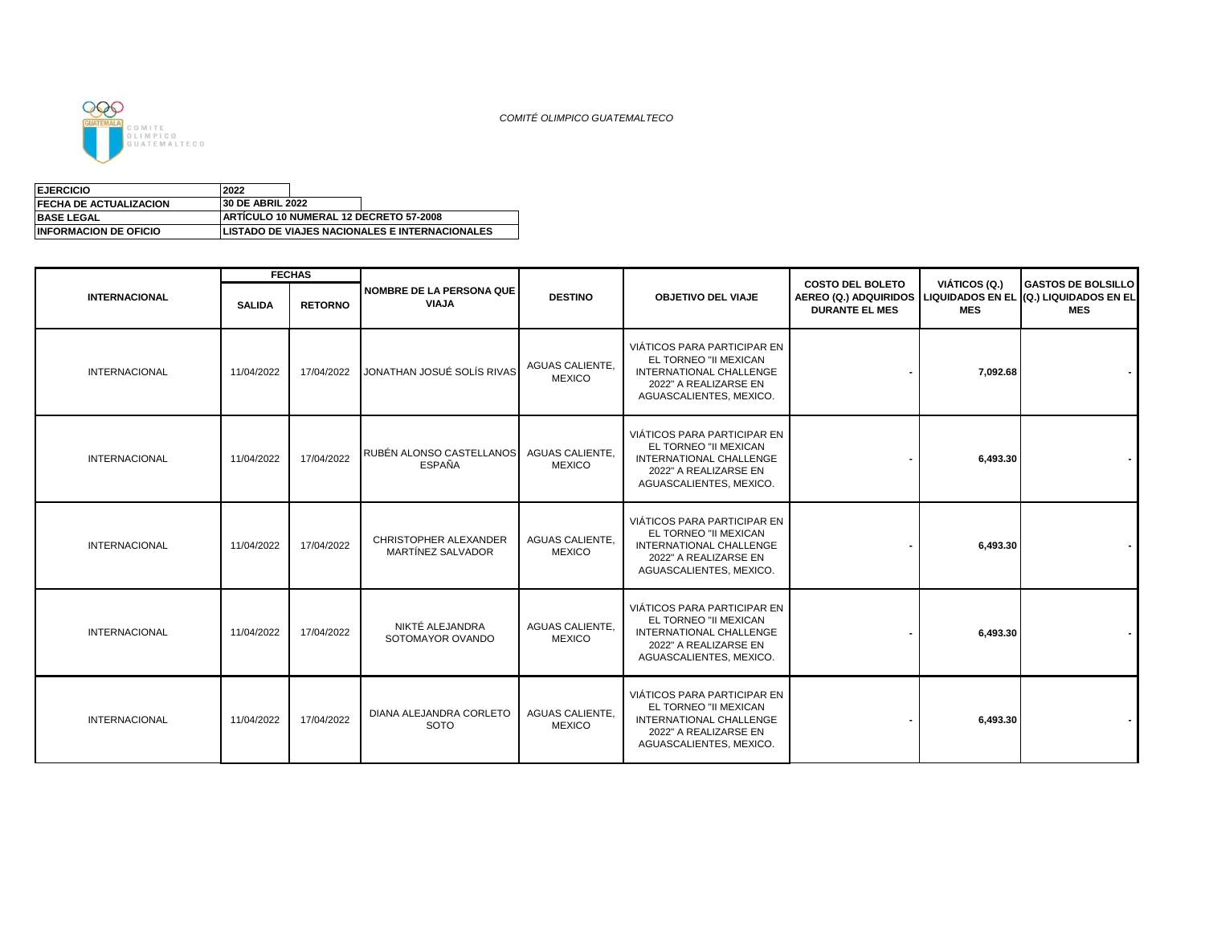

| <b>EJERCICIO</b><br>2022      |                                                |  |                                                       |  |  |  |
|-------------------------------|------------------------------------------------|--|-------------------------------------------------------|--|--|--|
| <b>FECHA DE ACTUALIZACION</b> | <b>30 DE ABRIL 2022</b>                        |  |                                                       |  |  |  |
| <b>BASE LEGAL</b>             | <b>IARTICULO 10 NUMERAL 12 DECRETO 57-2008</b> |  |                                                       |  |  |  |
| <b>INFORMACION DE OFICIO</b>  |                                                |  | <b>LISTADO DE VIAJES NACIONALES E INTERNACIONALES</b> |  |  |  |

|                      |               | <b>FECHAS</b>  |                                            |                                         |                                                                                                                                     |                                                                                                                  |                             |                                         |
|----------------------|---------------|----------------|--------------------------------------------|-----------------------------------------|-------------------------------------------------------------------------------------------------------------------------------------|------------------------------------------------------------------------------------------------------------------|-----------------------------|-----------------------------------------|
| <b>INTERNACIONAL</b> | <b>SALIDA</b> | <b>RETORNO</b> | NOMBRE DE LA PERSONA QUE<br><b>VIAJA</b>   | <b>DESTINO</b>                          | <b>OBJETIVO DEL VIAJE</b>                                                                                                           | <b>COSTO DEL BOLETO</b><br>AEREO (Q.) ADQUIRIDOS LIQUIDADOS EN EL (Q.) LIQUIDADOS EN EL<br><b>DURANTE EL MES</b> | VIÁTICOS (Q.)<br><b>MES</b> | <b>GASTOS DE BOLSILLO</b><br><b>MES</b> |
| <b>INTERNACIONAL</b> | 11/04/2022    | 17/04/2022     | JONATHAN JOSUÉ SOLÍS RIVAS                 | <b>AGUAS CALIENTE.</b><br><b>MEXICO</b> | VIÁTICOS PARA PARTICIPAR EN<br>EL TORNEO "II MEXICAN<br>INTERNATIONAL CHALLENGE<br>2022" A REALIZARSE EN<br>AGUASCALIENTES, MEXICO. |                                                                                                                  | 7,092.68                    |                                         |
| <b>INTERNACIONAL</b> | 11/04/2022    | 17/04/2022     | RUBÉN ALONSO CASTELLANOS<br><b>ESPAÑA</b>  | <b>AGUAS CALIENTE.</b><br><b>MEXICO</b> | VIÁTICOS PARA PARTICIPAR EN<br>EL TORNEO "II MEXICAN<br>INTERNATIONAL CHALLENGE<br>2022" A REALIZARSE EN<br>AGUASCALIENTES, MEXICO. |                                                                                                                  | 6,493.30                    |                                         |
| <b>INTERNACIONAL</b> | 11/04/2022    | 17/04/2022     | CHRISTOPHER ALEXANDER<br>MARTÍNEZ SALVADOR | <b>AGUAS CALIENTE.</b><br><b>MEXICO</b> | VIÁTICOS PARA PARTICIPAR EN<br>EL TORNEO "II MEXICAN<br>INTERNATIONAL CHALLENGE<br>2022" A REALIZARSE EN<br>AGUASCALIENTES, MEXICO. |                                                                                                                  | 6,493.30                    |                                         |
| <b>INTERNACIONAL</b> | 11/04/2022    | 17/04/2022     | NIKTÉ ALEJANDRA<br>SOTOMAYOR OVANDO        | AGUAS CALIENTE.<br><b>MEXICO</b>        | VIÁTICOS PARA PARTICIPAR EN<br>EL TORNEO "II MEXICAN<br>INTERNATIONAL CHALLENGE<br>2022" A REALIZARSE EN<br>AGUASCALIENTES, MEXICO. |                                                                                                                  | 6,493.30                    |                                         |
| <b>INTERNACIONAL</b> | 11/04/2022    | 17/04/2022     | DIANA ALEJANDRA CORLETO<br><b>SOTO</b>     | AGUAS CALIENTE.<br><b>MEXICO</b>        | VIÁTICOS PARA PARTICIPAR EN<br>EL TORNEO "II MEXICAN<br>INTERNATIONAL CHALLENGE<br>2022" A REALIZARSE EN<br>AGUASCALIENTES, MEXICO. |                                                                                                                  | 6.493.30                    |                                         |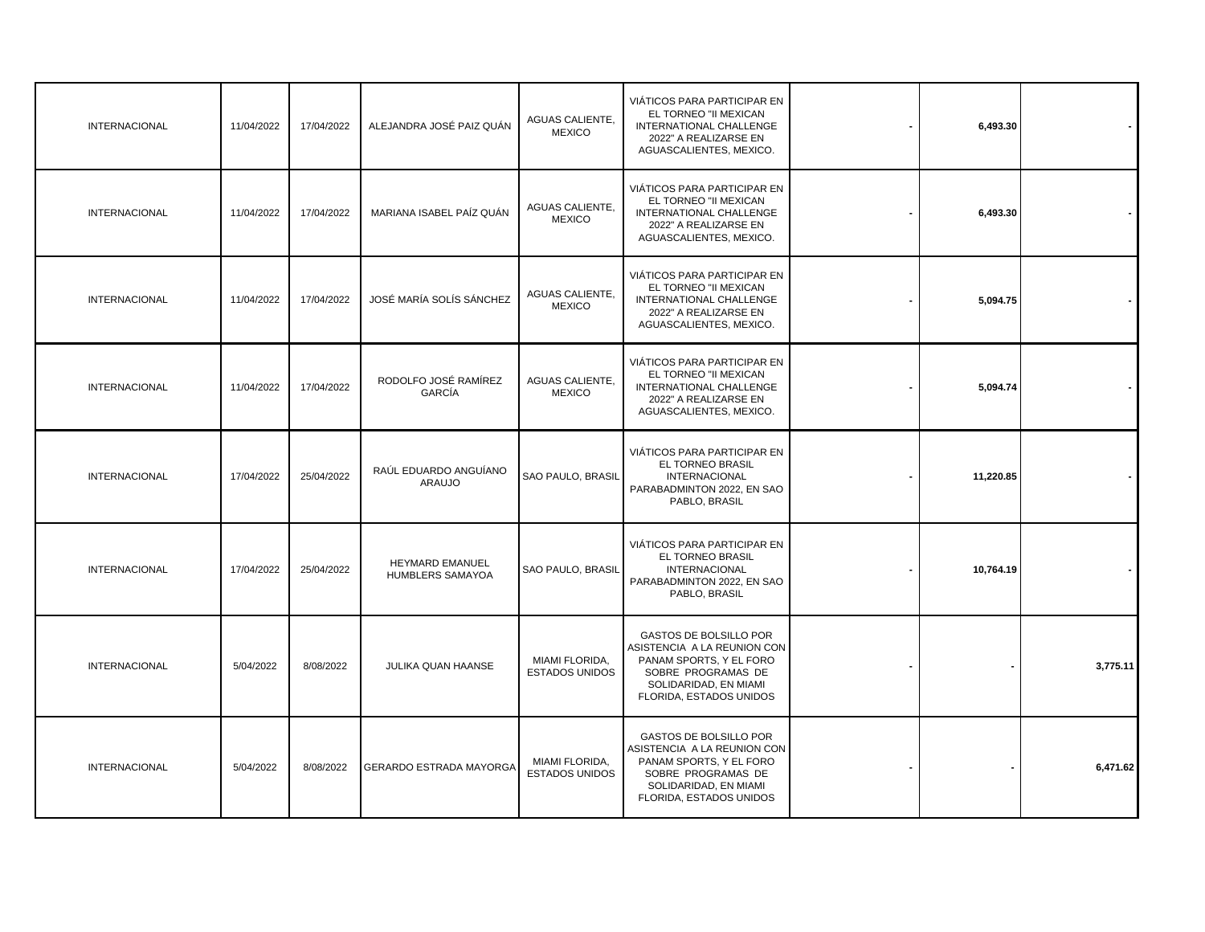|          | 6,493.30  | VIÁTICOS PARA PARTICIPAR EN<br>EL TORNEO "II MEXICAN<br>INTERNATIONAL CHALLENGE<br>2022" A REALIZARSE EN<br>AGUASCALIENTES, MEXICO.                               | <b>AGUAS CALIENTE,</b><br><b>MEXICO</b> | ALEJANDRA JOSÉ PAIZ QUÁN               | 17/04/2022 | 11/04/2022 | <b>INTERNACIONAL</b> |
|----------|-----------|-------------------------------------------------------------------------------------------------------------------------------------------------------------------|-----------------------------------------|----------------------------------------|------------|------------|----------------------|
|          | 6,493.30  | VIÁTICOS PARA PARTICIPAR EN<br>EL TORNEO "II MEXICAN<br>INTERNATIONAL CHALLENGE<br>2022" A REALIZARSE EN<br>AGUASCALIENTES, MEXICO.                               | AGUAS CALIENTE,<br><b>MEXICO</b>        | MARIANA ISABEL PAÍZ QUÁN               | 17/04/2022 | 11/04/2022 | <b>INTERNACIONAL</b> |
|          | 5,094.75  | VIÁTICOS PARA PARTICIPAR EN<br>EL TORNEO "II MEXICAN<br>INTERNATIONAL CHALLENGE<br>2022" A REALIZARSE EN<br>AGUASCALIENTES, MEXICO.                               | <b>AGUAS CALIENTE,</b><br><b>MEXICO</b> | JOSÉ MARÍA SOLÍS SÁNCHEZ               | 17/04/2022 | 11/04/2022 | <b>INTERNACIONAL</b> |
|          | 5,094.74  | VIÁTICOS PARA PARTICIPAR EN<br>EL TORNEO "II MEXICAN<br>INTERNATIONAL CHALLENGE<br>2022" A REALIZARSE EN<br>AGUASCALIENTES, MEXICO.                               | <b>AGUAS CALIENTE,</b><br><b>MEXICO</b> | RODOLFO JOSÉ RAMÍREZ<br>GARCÍA         | 17/04/2022 | 11/04/2022 | <b>INTERNACIONAL</b> |
|          | 11,220.85 | VIÁTICOS PARA PARTICIPAR EN<br>EL TORNEO BRASIL<br><b>INTERNACIONAL</b><br>PARABADMINTON 2022, EN SAO<br>PABLO, BRASIL                                            | SAO PAULO, BRASIL                       | RAÚL EDUARDO ANGUÍANO<br><b>ARAUJO</b> | 25/04/2022 | 17/04/2022 | <b>INTERNACIONAL</b> |
|          | 10,764.19 | VIÁTICOS PARA PARTICIPAR EN<br>EL TORNEO BRASIL<br><b>INTERNACIONAL</b><br>PARABADMINTON 2022, EN SAO<br>PABLO, BRASIL                                            | <b>SAO PAULO, BRASIL</b>                | HEYMARD EMANUEL<br>HUMBLERS SAMAYOA    | 25/04/2022 | 17/04/2022 | <b>INTERNACIONAL</b> |
| 3,775.11 |           | <b>GASTOS DE BOLSILLO POR</b><br>ASISTENCIA A LA REUNION CON<br>PANAM SPORTS, Y EL FORO<br>SOBRE PROGRAMAS DE<br>SOLIDARIDAD, EN MIAMI<br>FLORIDA, ESTADOS UNIDOS | MIAMI FLORIDA,<br><b>ESTADOS UNIDOS</b> | JULIKA QUAN HAANSE                     | 8/08/2022  | 5/04/2022  | <b>INTERNACIONAL</b> |
| 6,471.62 |           | <b>GASTOS DE BOLSILLO POR</b><br>ASISTENCIA A LA REUNION CON<br>PANAM SPORTS, Y EL FORO<br>SOBRE PROGRAMAS DE<br>SOLIDARIDAD, EN MIAMI<br>FLORIDA, ESTADOS UNIDOS | MIAMI FLORIDA,<br><b>ESTADOS UNIDOS</b> | <b>GERARDO ESTRADA MAYORGA</b>         | 8/08/2022  | 5/04/2022  | <b>INTERNACIONAL</b> |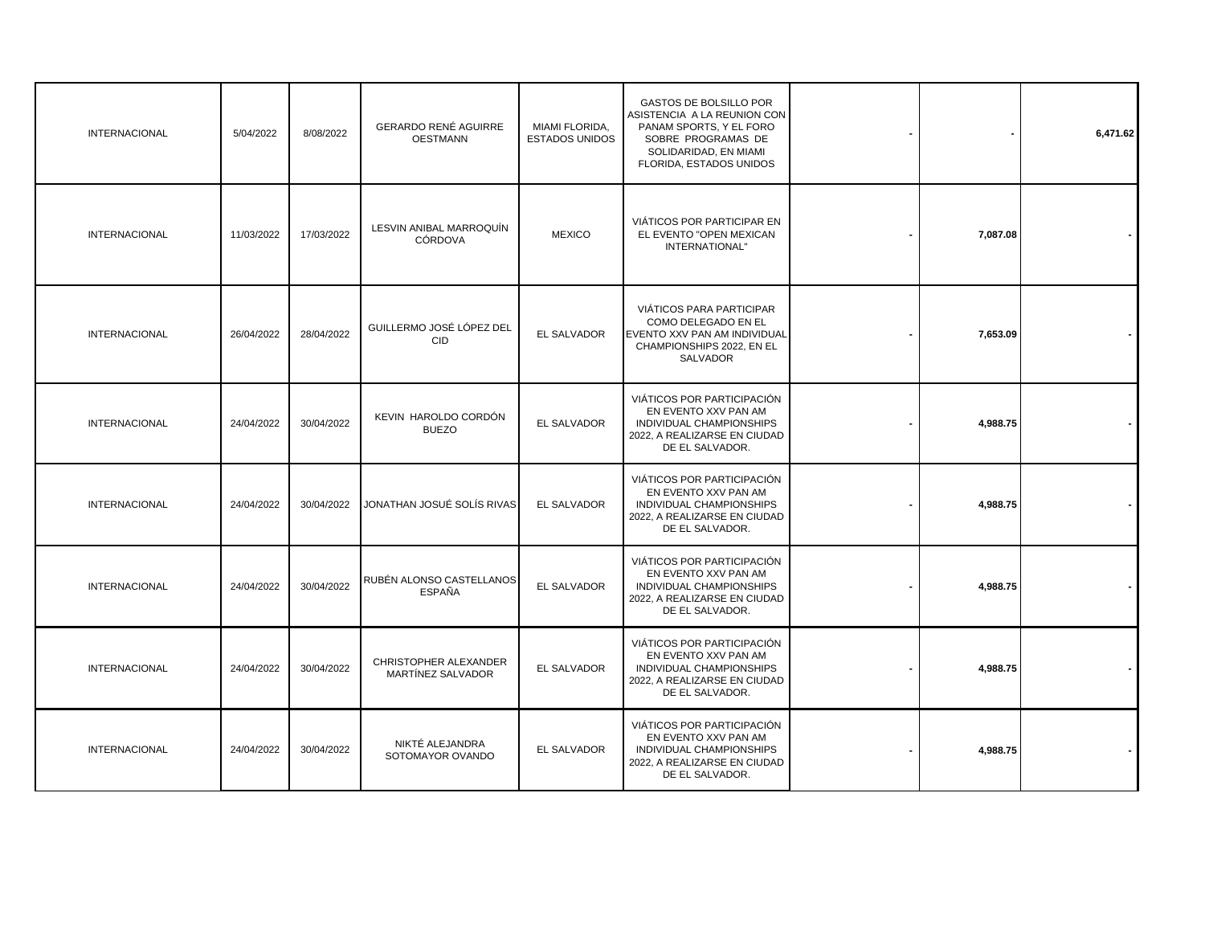| <b>INTERNACIONAL</b> | 5/04/2022  | 8/08/2022  | <b>GERARDO RENÉ AGUIRRE</b><br><b>OESTMANN</b> | MIAMI FLORIDA,<br><b>ESTADOS UNIDOS</b> | GASTOS DE BOLSILLO POR<br>ASISTENCIA A LA REUNION CON<br>PANAM SPORTS, Y EL FORO<br>SOBRE PROGRAMAS DE<br>SOLIDARIDAD, EN MIAMI<br>FLORIDA, ESTADOS UNIDOS |          | 6,471.62 |
|----------------------|------------|------------|------------------------------------------------|-----------------------------------------|------------------------------------------------------------------------------------------------------------------------------------------------------------|----------|----------|
| <b>INTERNACIONAL</b> | 11/03/2022 | 17/03/2022 | LESVIN ANIBAL MARROQUÍN<br><b>CÓRDOVA</b>      | <b>MEXICO</b>                           | VIÁTICOS POR PARTICIPAR EN<br>EL EVENTO "OPEN MEXICAN<br>INTERNATIONAL"                                                                                    | 7,087.08 |          |
| <b>INTERNACIONAL</b> | 26/04/2022 | 28/04/2022 | GUILLERMO JOSÉ LÓPEZ DEL<br><b>CID</b>         | EL SALVADOR                             | VIÁTICOS PARA PARTICIPAR<br>COMO DELEGADO EN EL<br>EVENTO XXV PAN AM INDIVIDUAL<br>CHAMPIONSHIPS 2022, EN EL<br>SALVADOR                                   | 7,653.09 |          |
| <b>INTERNACIONAL</b> | 24/04/2022 | 30/04/2022 | KEVIN HAROLDO CORDÓN<br><b>BUEZO</b>           | EL SALVADOR                             | VIÁTICOS POR PARTICIPACIÓN<br>EN EVENTO XXV PAN AM<br>INDIVIDUAL CHAMPIONSHIPS<br>2022, A REALIZARSE EN CIUDAD<br>DE EL SALVADOR.                          | 4,988.75 |          |
| <b>INTERNACIONAL</b> | 24/04/2022 | 30/04/2022 | JONATHAN JOSUÉ SOLÍS RIVAS                     | EL SALVADOR                             | VIÁTICOS POR PARTICIPACIÓN<br>EN EVENTO XXV PAN AM<br>INDIVIDUAL CHAMPIONSHIPS<br>2022, A REALIZARSE EN CIUDAD<br>DE EL SALVADOR.                          | 4,988.75 |          |
| <b>INTERNACIONAL</b> | 24/04/2022 | 30/04/2022 | RUBÉN ALONSO CASTELLANOS<br><b>ESPAÑA</b>      | EL SALVADOR                             | VIÁTICOS POR PARTICIPACIÓN<br>EN EVENTO XXV PAN AM<br>INDIVIDUAL CHAMPIONSHIPS<br>2022, A REALIZARSE EN CIUDAD<br>DE EL SALVADOR.                          | 4,988.75 |          |
| <b>INTERNACIONAL</b> | 24/04/2022 | 30/04/2022 | CHRISTOPHER ALEXANDER<br>MARTÍNEZ SALVADOR     | EL SALVADOR                             | VIÁTICOS POR PARTICIPACIÓN<br>EN EVENTO XXV PAN AM<br>INDIVIDUAL CHAMPIONSHIPS<br>2022, A REALIZARSE EN CIUDAD<br>DE EL SALVADOR.                          | 4,988.75 |          |
| <b>INTERNACIONAL</b> | 24/04/2022 | 30/04/2022 | NIKTÉ ALEJANDRA<br>SOTOMAYOR OVANDO            | EL SALVADOR                             | VIÁTICOS POR PARTICIPACIÓN<br>EN EVENTO XXV PAN AM<br>INDIVIDUAL CHAMPIONSHIPS<br>2022, A REALIZARSE EN CIUDAD<br>DE EL SALVADOR.                          | 4,988.75 |          |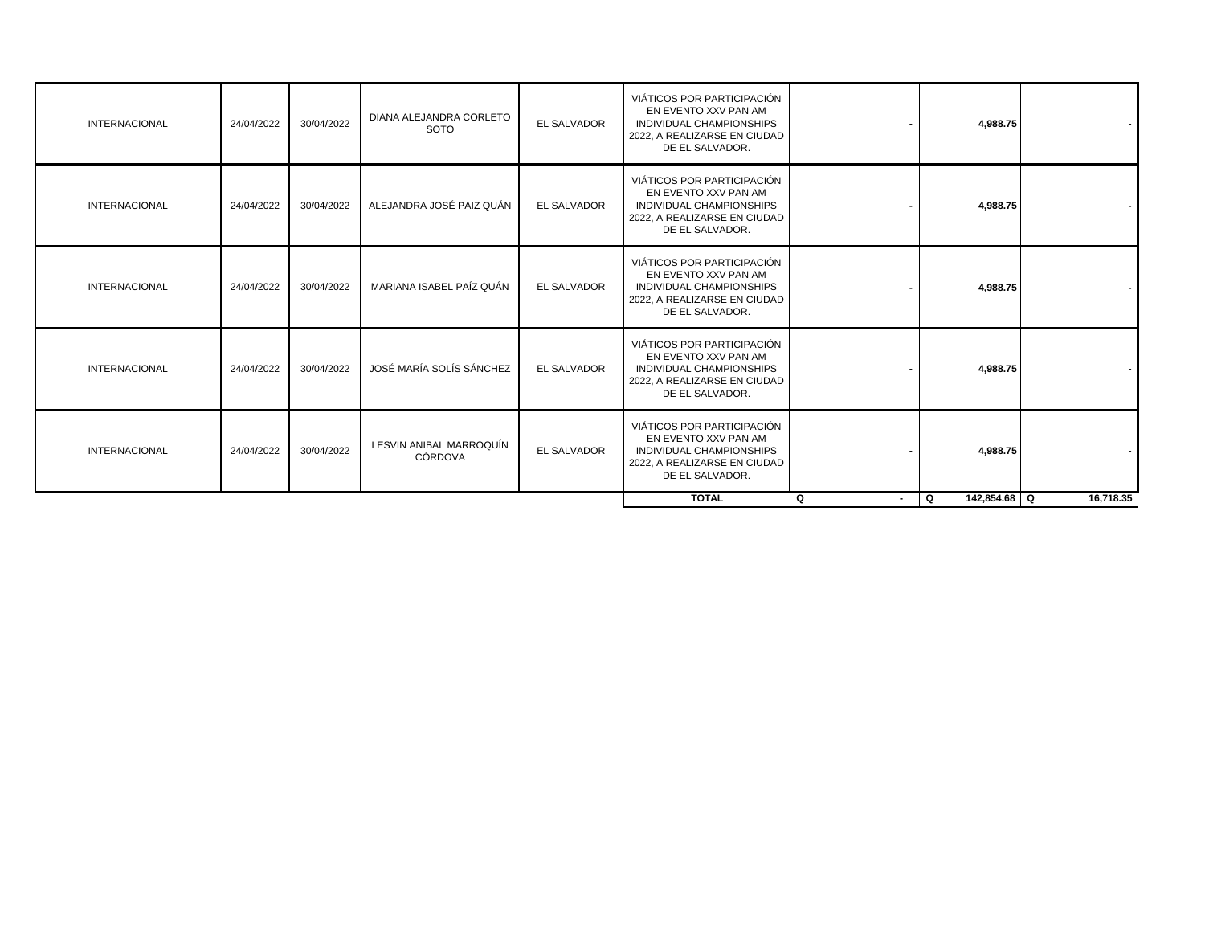| VIÁTICOS POR PARTICIPACIÓN<br>EN EVENTO XXV PAN AM<br><b>EL SALVADOR</b><br>INDIVIDUAL CHAMPIONSHIPS<br>4,988.75<br>2022, A REALIZARSE EN CIUDAD<br>DE EL SALVADOR. |  | DIANA ALEJANDRA CORLETO                   |            |            |                      |
|---------------------------------------------------------------------------------------------------------------------------------------------------------------------|--|-------------------------------------------|------------|------------|----------------------|
|                                                                                                                                                                     |  | <b>SOTO</b>                               | 30/04/2022 | 24/04/2022 | <b>INTERNACIONAL</b> |
| VIÁTICOS POR PARTICIPACIÓN<br>EN EVENTO XXV PAN AM<br><b>EL SALVADOR</b><br>INDIVIDUAL CHAMPIONSHIPS<br>4,988.75<br>2022, A REALIZARSE EN CIUDAD<br>DE EL SALVADOR. |  | ALEJANDRA JOSÉ PAIZ QUÁN                  | 30/04/2022 | 24/04/2022 | <b>INTERNACIONAL</b> |
| VIÁTICOS POR PARTICIPACIÓN<br>EN EVENTO XXV PAN AM<br>EL SALVADOR<br>INDIVIDUAL CHAMPIONSHIPS<br>4,988.75<br>2022, A REALIZARSE EN CIUDAD<br>DE EL SALVADOR.        |  | MARIANA ISABEL PAÍZ QUÁN                  | 30/04/2022 | 24/04/2022 | <b>INTERNACIONAL</b> |
| VIÁTICOS POR PARTICIPACIÓN<br>EN EVENTO XXV PAN AM<br><b>EL SALVADOR</b><br>INDIVIDUAL CHAMPIONSHIPS<br>4,988.75<br>2022, A REALIZARSE EN CIUDAD<br>DE EL SALVADOR. |  | JOSÉ MARÍA SOLÍS SÁNCHEZ                  | 30/04/2022 | 24/04/2022 | <b>INTERNACIONAL</b> |
| VIÁTICOS POR PARTICIPACIÓN<br>EN EVENTO XXV PAN AM<br>EL SALVADOR<br>INDIVIDUAL CHAMPIONSHIPS<br>4,988.75<br>2022, A REALIZARSE EN CIUDAD<br>DE EL SALVADOR.        |  | LESVIN ANIBAL MARROQUÍN<br><b>CÓRDOVA</b> | 30/04/2022 | 24/04/2022 | <b>INTERNACIONAL</b> |
| 16.718.35<br>142,854.68 Q<br><b>TOTAL</b><br>Q<br>Q<br>$\blacksquare$                                                                                               |  |                                           |            |            |                      |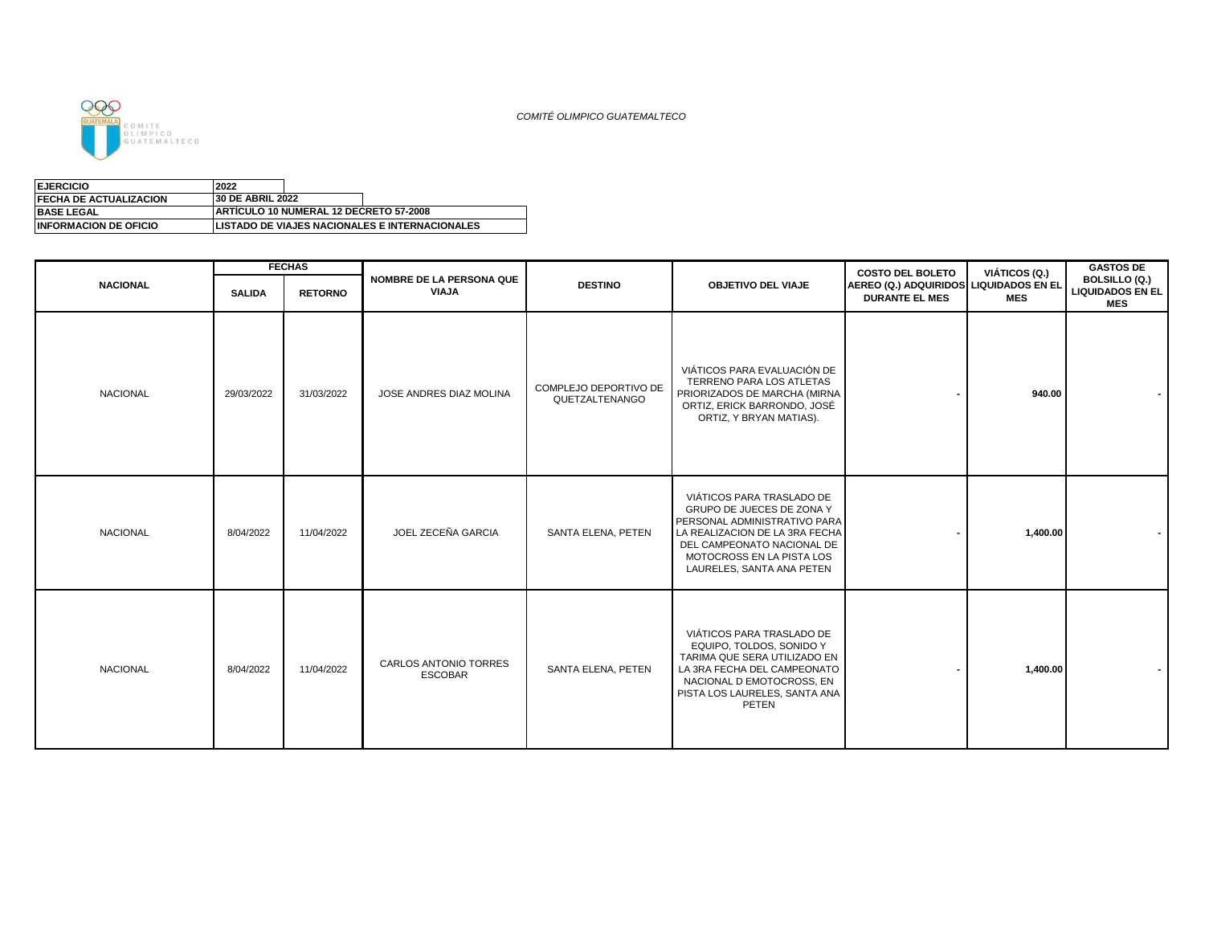

| <b>EJERCICIO</b>              | 2022                    |                                                |                                                       |
|-------------------------------|-------------------------|------------------------------------------------|-------------------------------------------------------|
| <b>FECHA DE ACTUALIZACION</b> | <b>30 DE ABRIL 2022</b> |                                                |                                                       |
| <b>BASE LEGAL</b>             |                         | <b>IARTICULO 10 NUMERAL 12 DECRETO 57-2008</b> |                                                       |
| <b>INFORMACION DE OFICIO</b>  |                         |                                                | <b>LISTADO DE VIAJES NACIONALES E INTERNACIONALES</b> |
|                               |                         |                                                |                                                       |

|                 |               | <b>FECHAS</b>  |                                                |                                         |                                                                                                                                                                                                                  | <b>COSTO DEL BOLETO</b>                                         | VIÁTICOS (Q.) | <b>GASTOS DE</b>                                       |
|-----------------|---------------|----------------|------------------------------------------------|-----------------------------------------|------------------------------------------------------------------------------------------------------------------------------------------------------------------------------------------------------------------|-----------------------------------------------------------------|---------------|--------------------------------------------------------|
| <b>NACIONAL</b> | <b>SALIDA</b> | <b>RETORNO</b> | <b>NOMBRE DE LA PERSONA QUE</b><br>VIAJA       | <b>DESTINO</b>                          | <b>OBJETIVO DEL VIAJE</b>                                                                                                                                                                                        | AEREO (Q.) ADQUIRIDOS LIQUIDADOS EN EL<br><b>DURANTE EL MES</b> | <b>MES</b>    | BOLSILLO (Q.)<br><b>LIQUIDADOS EN EL</b><br><b>MES</b> |
| <b>NACIONAL</b> | 29/03/2022    | 31/03/2022     | JOSE ANDRES DIAZ MOLINA                        | COMPLEJO DEPORTIVO DE<br>QUETZALTENANGO | VIÁTICOS PARA EVALUACIÓN DE<br>TERRENO PARA LOS ATLETAS<br>PRIORIZADOS DE MARCHA (MIRNA<br>ORTIZ, ERICK BARRONDO, JOSÉ<br>ORTIZ, Y BRYAN MATIAS).                                                                |                                                                 | 940.00        |                                                        |
| <b>NACIONAL</b> | 8/04/2022     | 11/04/2022     | JOEL ZECEÑA GARCIA                             | SANTA ELENA, PETEN                      | VIÁTICOS PARA TRASLADO DE<br>GRUPO DE JUECES DE ZONA Y<br>PERSONAL ADMINISTRATIVO PARA<br>LA REALIZACION DE LA 3RA FECHA<br>DEL CAMPEONATO NACIONAL DE<br>MOTOCROSS EN LA PISTA LOS<br>LAURELES, SANTA ANA PETEN |                                                                 | 1,400.00      |                                                        |
| <b>NACIONAL</b> | 8/04/2022     | 11/04/2022     | <b>CARLOS ANTONIO TORRES</b><br><b>ESCOBAR</b> | SANTA ELENA. PETEN                      | VIÁTICOS PARA TRASLADO DE<br>EQUIPO, TOLDOS, SONIDO Y<br>TARIMA QUE SERA UTILIZADO EN<br>LA 3RA FECHA DEL CAMPEONATO<br>NACIONAL D EMOTOCROSS, EN<br>PISTA LOS LAURELES, SANTA ANA<br>PETEN                      |                                                                 | 1,400.00      |                                                        |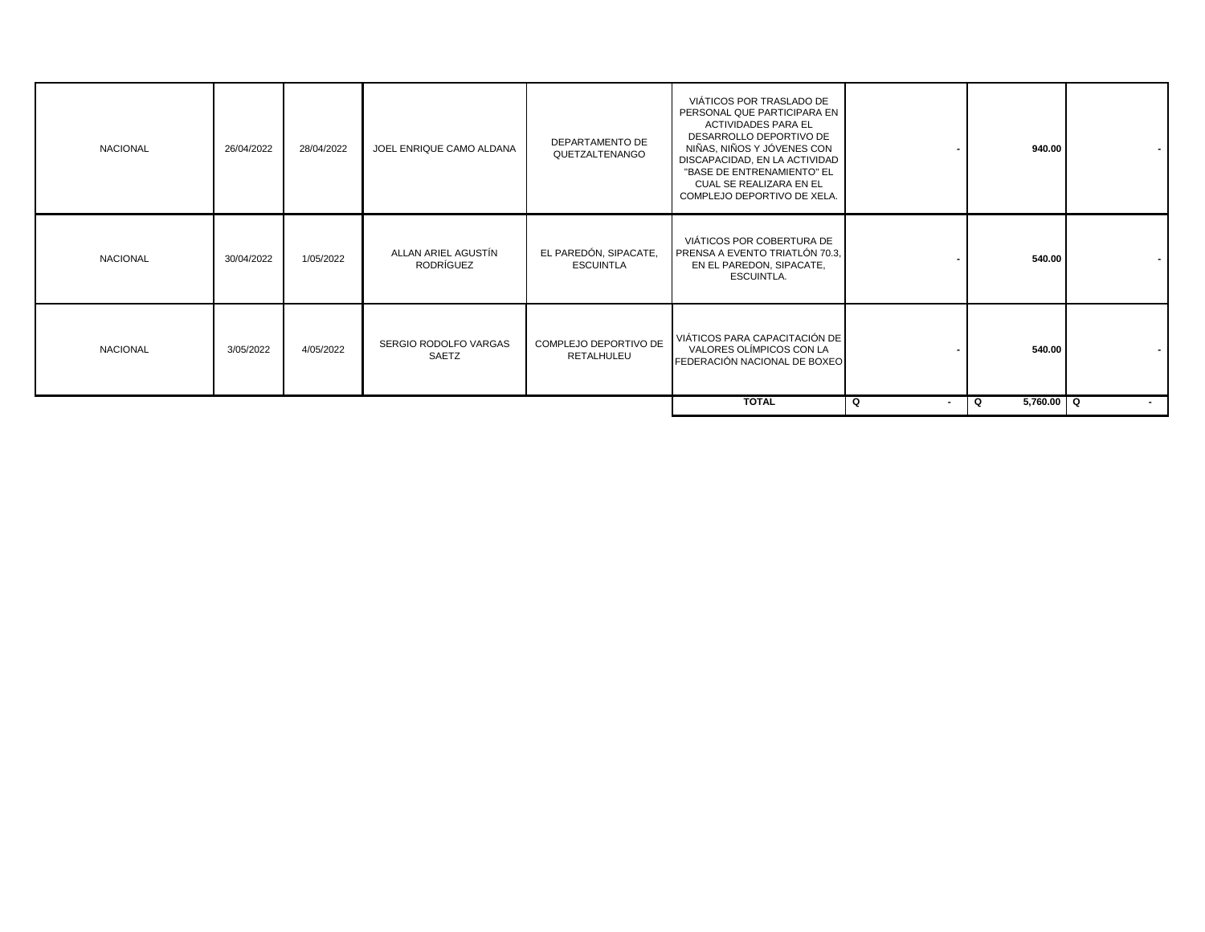| <b>NACIONAL</b> | 26/04/2022 | 28/04/2022 | JOEL ENRIQUE CAMO ALDANA         | DEPARTAMENTO DE<br>QUETZALTENANGO         | VIÁTICOS POR TRASLADO DE<br>PERSONAL QUE PARTICIPARA EN<br><b>ACTIVIDADES PARA EL</b><br>DESARROLLO DEPORTIVO DE<br>NIÑAS, NIÑOS Y JÓVENES CON<br>DISCAPACIDAD, EN LA ACTIVIDAD<br>"BASE DE ENTRENAMIENTO" EL<br>CUAL SE REALIZARA EN EL<br>COMPLEJO DEPORTIVO DE XELA. |                     | 940.00          |        |
|-----------------|------------|------------|----------------------------------|-------------------------------------------|-------------------------------------------------------------------------------------------------------------------------------------------------------------------------------------------------------------------------------------------------------------------------|---------------------|-----------------|--------|
| <b>NACIONAL</b> | 30/04/2022 | 1/05/2022  | ALLAN ARIEL AGUSTÍN<br>RODRÍGUEZ | EL PAREDÓN, SIPACATE,<br><b>ESCUINTLA</b> | VIÁTICOS POR COBERTURA DE<br>PRENSA A EVENTO TRIATLÓN 70.3.<br>EN EL PAREDON, SIPACATE,<br>ESCUINTLA.                                                                                                                                                                   |                     | 540.00          |        |
| <b>NACIONAL</b> | 3/05/2022  | 4/05/2022  | SERGIO RODOLFO VARGAS<br>SAETZ   | COMPLEJO DEPORTIVO DE<br>RETALHULEU       | VIÁTICOS PARA CAPACITACIÓN DE<br>VALORES OLÍMPICOS CON LA<br>FEDERACIÓN NACIONAL DE BOXEO                                                                                                                                                                               |                     | 540.00          |        |
|                 |            |            |                                  |                                           | <b>TOTAL</b>                                                                                                                                                                                                                                                            | Q<br>$\blacksquare$ | 5,760.00 Q<br>Q | $\sim$ |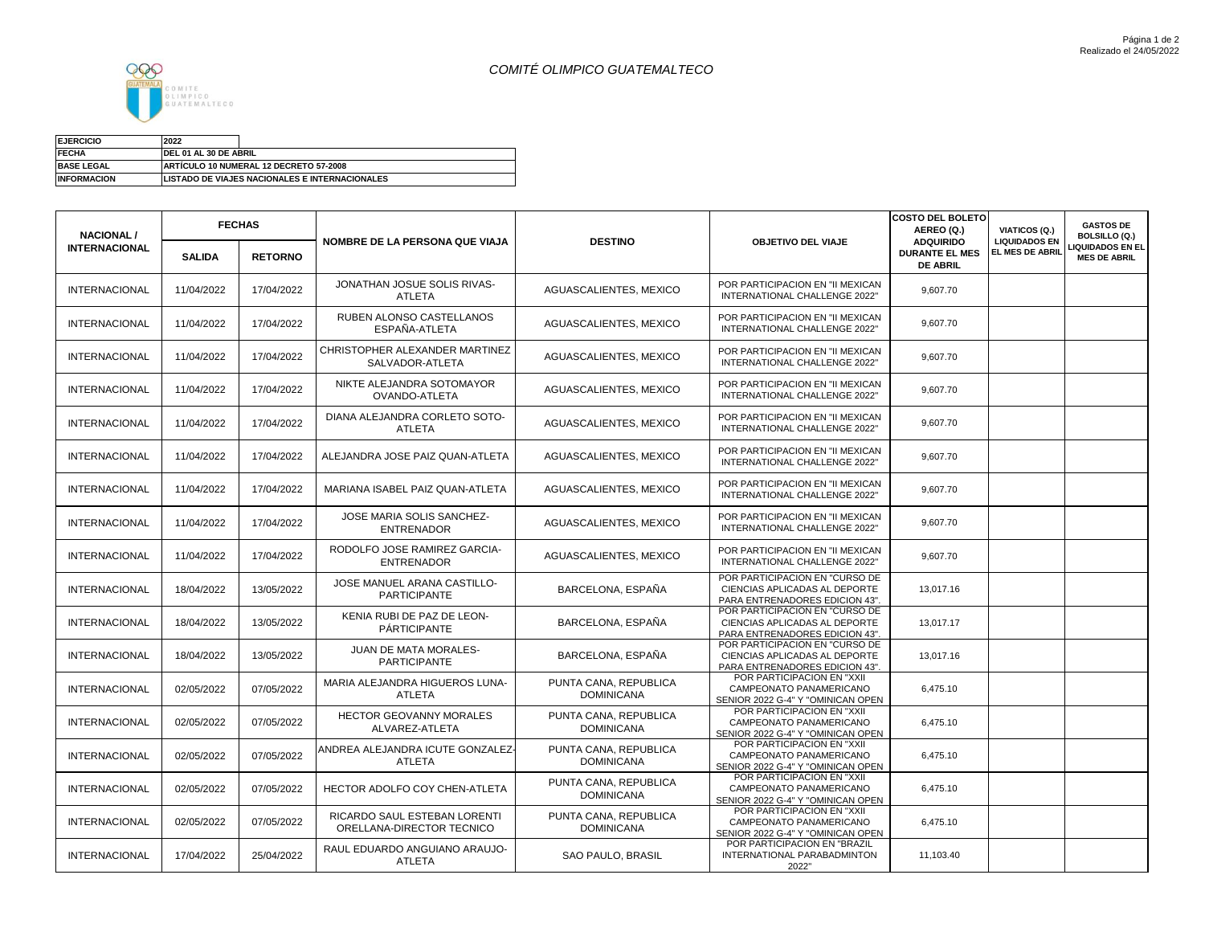## *COMITÉ OLIMPICO GUATEMALTECO*



Suma de MONTO

| <b>EJERCICIO</b>   | 2022                                                  |
|--------------------|-------------------------------------------------------|
| <b>FECHA</b>       | DEL 01 AL 30 DE ABRIL                                 |
| <b>BASE LEGAL</b>  | ARTÍCULO 10 NUMERAL 12 DECRETO 57-2008                |
| <b>INFORMACION</b> | <b>LISTADO DE VIAJES NACIONALES E INTERNACIONALES</b> |

| <b>NACIONAL /</b>    | <b>FECHAS</b> |                | NOMBRE DE LA PERSONA QUE VIAJA                            | <b>DESTINO</b>                             | <b>OBJETIVO DEL VIAJE</b>                                                                         | <b>COSTO DEL BOLETO</b><br>AEREO (Q.)<br><b>ADQUIRIDO</b> | VIATICOS (Q.)<br><b>LIQUIDADOS EN</b> | <b>GASTOS DE</b><br><b>BOLSILLO (Q.)</b>      |
|----------------------|---------------|----------------|-----------------------------------------------------------|--------------------------------------------|---------------------------------------------------------------------------------------------------|-----------------------------------------------------------|---------------------------------------|-----------------------------------------------|
| <b>INTERNACIONAL</b> | <b>SALIDA</b> | <b>RETORNO</b> |                                                           |                                            |                                                                                                   | <b>DURANTE EL MES</b><br><b>DE ABRIL</b>                  | <b>EL MES DE ABRIL</b>                | <b>IQUIDADOS EN EL</b><br><b>MES DE ABRIL</b> |
| <b>INTERNACIONAL</b> | 11/04/2022    | 17/04/2022     | JONATHAN JOSUE SOLIS RIVAS-<br><b>ATLETA</b>              | AGUASCALIENTES, MEXICO                     | POR PARTICIPACION EN "II MEXICAN<br>INTERNATIONAL CHALLENGE 2022"                                 | 9,607.70                                                  |                                       |                                               |
| <b>INTERNACIONAL</b> | 11/04/2022    | 17/04/2022     | RUBEN ALONSO CASTELLANOS<br>ESPAÑA-ATLETA                 | AGUASCALIENTES, MEXICO                     | POR PARTICIPACION EN "II MEXICAN<br>INTERNATIONAL CHALLENGE 2022"                                 | 9,607.70                                                  |                                       |                                               |
| <b>INTERNACIONAL</b> | 11/04/2022    | 17/04/2022     | CHRISTOPHER ALEXANDER MARTINEZ<br>SALVADOR-ATLETA         | AGUASCALIENTES, MEXICO                     | POR PARTICIPACION EN "II MEXICAN<br>INTERNATIONAL CHALLENGE 2022"                                 | 9,607.70                                                  |                                       |                                               |
| <b>INTERNACIONAL</b> | 11/04/2022    | 17/04/2022     | NIKTE ALEJANDRA SOTOMAYOR<br>OVANDO-ATLETA                | AGUASCALIENTES, MEXICO                     | POR PARTICIPACION EN "II MEXICAN<br>INTERNATIONAL CHALLENGE 2022"                                 | 9,607.70                                                  |                                       |                                               |
| <b>INTERNACIONAL</b> | 11/04/2022    | 17/04/2022     | DIANA ALEJANDRA CORLETO SOTO-<br><b>ATLETA</b>            | AGUASCALIENTES, MEXICO                     | POR PARTICIPACION EN "II MEXICAN<br>INTERNATIONAL CHALLENGE 2022"                                 | 9,607.70                                                  |                                       |                                               |
| <b>INTERNACIONAL</b> | 11/04/2022    | 17/04/2022     | ALEJANDRA JOSE PAIZ QUAN-ATLETA                           | AGUASCALIENTES, MEXICO                     | POR PARTICIPACION EN "II MEXICAN<br>INTERNATIONAL CHALLENGE 2022"                                 | 9.607.70                                                  |                                       |                                               |
| <b>INTERNACIONAL</b> | 11/04/2022    | 17/04/2022     | MARIANA ISABEL PAIZ QUAN-ATLETA                           | AGUASCALIENTES, MEXICO                     | POR PARTICIPACION EN "II MEXICAN<br>INTERNATIONAL CHALLENGE 2022"                                 | 9.607.70                                                  |                                       |                                               |
| <b>INTERNACIONAL</b> | 11/04/2022    | 17/04/2022     | JOSE MARIA SOLIS SANCHEZ-<br><b>ENTRENADOR</b>            | AGUASCALIENTES, MEXICO                     | POR PARTICIPACION EN "II MEXICAN<br>INTERNATIONAL CHALLENGE 2022"                                 | 9.607.70                                                  |                                       |                                               |
| <b>INTERNACIONAL</b> | 11/04/2022    | 17/04/2022     | RODOLFO JOSE RAMIREZ GARCIA-<br><b>ENTRENADOR</b>         | AGUASCALIENTES, MEXICO                     | POR PARTICIPACION EN "II MEXICAN<br>INTERNATIONAL CHALLENGE 2022"                                 | 9,607.70                                                  |                                       |                                               |
| <b>INTERNACIONAL</b> | 18/04/2022    | 13/05/2022     | JOSE MANUEL ARANA CASTILLO-<br><b>PARTICIPANTE</b>        | BARCELONA, ESPAÑA                          | POR PARTICIPACION EN "CURSO DE<br>CIENCIAS APLICADAS AL DEPORTE<br>PARA ENTRENADORES EDICION 43". | 13,017.16                                                 |                                       |                                               |
| <b>INTERNACIONAL</b> | 18/04/2022    | 13/05/2022     | KENIA RUBI DE PAZ DE LEON-<br><b>PÁRTICIPANTE</b>         | BARCELONA, ESPAÑA                          | POR PARTICIPACION EN "CURSO DE<br>CIENCIAS APLICADAS AL DEPORTE<br>PARA ENTRENADORES EDICION 43". | 13,017.17                                                 |                                       |                                               |
| <b>INTERNACIONAL</b> | 18/04/2022    | 13/05/2022     | JUAN DE MATA MORALES-<br><b>PARTICIPANTE</b>              | BARCELONA, ESPAÑA                          | POR PARTICIPACION EN "CURSO DE<br>CIENCIAS APLICADAS AL DEPORTE<br>PARA ENTRENADORES EDICION 43". | 13.017.16                                                 |                                       |                                               |
| <b>INTERNACIONAL</b> | 02/05/2022    | 07/05/2022     | MARIA ALEJANDRA HIGUEROS LUNA-<br><b>ATLETA</b>           | PUNTA CANA, REPUBLICA<br><b>DOMINICANA</b> | POR PARTICIPACION EN "XXII<br>CAMPEONATO PANAMERICANO<br>SENIOR 2022 G-4" Y "OMINICAN OPEN        | 6,475.10                                                  |                                       |                                               |
| <b>INTERNACIONAL</b> | 02/05/2022    | 07/05/2022     | <b>HECTOR GEOVANNY MORALES</b><br>ALVAREZ-ATLETA          | PUNTA CANA, REPUBLICA<br><b>DOMINICANA</b> | POR PARTICIPACION EN "XXII<br>CAMPEONATO PANAMERICANO<br>SENIOR 2022 G-4" Y "OMINICAN OPEN        | 6,475.10                                                  |                                       |                                               |
| <b>INTERNACIONAL</b> | 02/05/2022    | 07/05/2022     | ANDREA ALEJANDRA ICUTE GONZALEZ-<br><b>ATLETA</b>         | PUNTA CANA, REPUBLICA<br><b>DOMINICANA</b> | POR PARTICIPACION EN "XXII<br>CAMPEONATO PANAMERICANO<br>SENIOR 2022 G-4" Y "OMINICAN OPEN        | 6,475.10                                                  |                                       |                                               |
| <b>INTERNACIONAL</b> | 02/05/2022    | 07/05/2022     | HECTOR ADOLFO COY CHEN-ATLETA                             | PUNTA CANA, REPUBLICA<br><b>DOMINICANA</b> | POR PARTICIPACION EN "XXII<br>CAMPEONATO PANAMERICANO<br>SENIOR 2022 G-4" Y "OMINICAN OPEN        | 6,475.10                                                  |                                       |                                               |
| <b>INTERNACIONAL</b> | 02/05/2022    | 07/05/2022     | RICARDO SAUL ESTEBAN LORENTI<br>ORELLANA-DIRECTOR TECNICO | PUNTA CANA, REPUBLICA<br><b>DOMINICANA</b> | POR PARTICIPACION EN "XXII<br>CAMPEONATO PANAMERICANO<br>SENIOR 2022 G-4" Y "OMINICAN OPEN        | 6,475.10                                                  |                                       |                                               |
| INTERNACIONAL        | 17/04/2022    | 25/04/2022     | RAUL EDUARDO ANGUIANO ARAUJO-<br><b>ATLETA</b>            | SAO PAULO, BRASIL                          | POR PARTICIPACION EN "BRAZIL<br>INTERNATIONAL PARABADMINTON<br>2022"                              | 11,103.40                                                 |                                       |                                               |